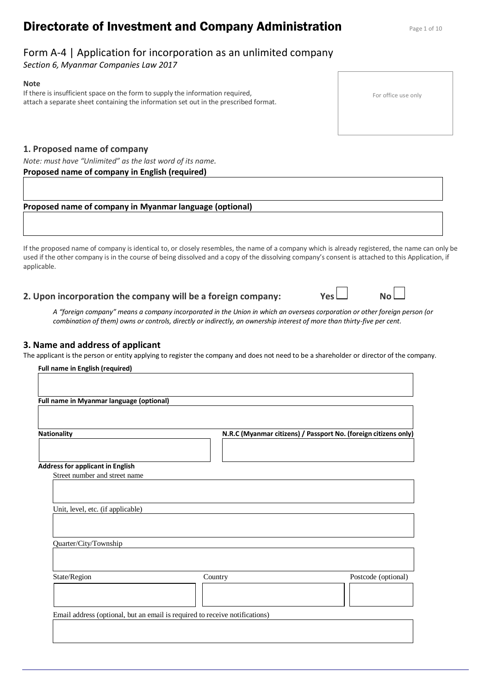# **Directorate of Investment and Company Administration** Page 1 of 10

Form A-4 | Application for incorporation as an unlimited company

*Section 6, Myanmar Companies Law 2017*

### **Note**

If there is insufficient space on the form to supply the information required, attach a separate sheet containing the information set out in the prescribed format.

# **1. Proposed name of company**

| Note: must have "Unlimited" as the last word of its name. |  |
|-----------------------------------------------------------|--|
|-----------------------------------------------------------|--|

# **Proposed name of company in English (required)**

# **Proposed name of company in Myanmar language (optional)**

If the proposed name of company is identical to, or closely resembles, the name of a company which is already registered, the name can only be used if the other company is in the course of being dissolved and a copy of the dissolving company's consent is attached to this Application, if applicable.

# **2. Upon incorporation the company will be a foreign company: Yes No**

*A "foreign company" means a company incorporated in the Union in which an overseas corporation or other foreign person (or combination of them) owns or controls, directly or indirectly, an ownership interest of more than thirty-five per cent.*

# **3. Name and address of applicant**

The applicant is the person or entity applying to register the company and does not need to be a shareholder or director of the company.

| Full name in Myanmar language (optional) |         |                                                                 |
|------------------------------------------|---------|-----------------------------------------------------------------|
| <b>Nationality</b>                       |         | N.R.C (Myanmar citizens) / Passport No. (foreign citizens only) |
| <b>Address for applicant in English</b>  |         |                                                                 |
| Street number and street name            |         |                                                                 |
| Unit, level, etc. (if applicable)        |         |                                                                 |
| Quarter/City/Township                    |         |                                                                 |
|                                          |         |                                                                 |
| State/Region                             | Country | Postcode (optional)                                             |

For office use only

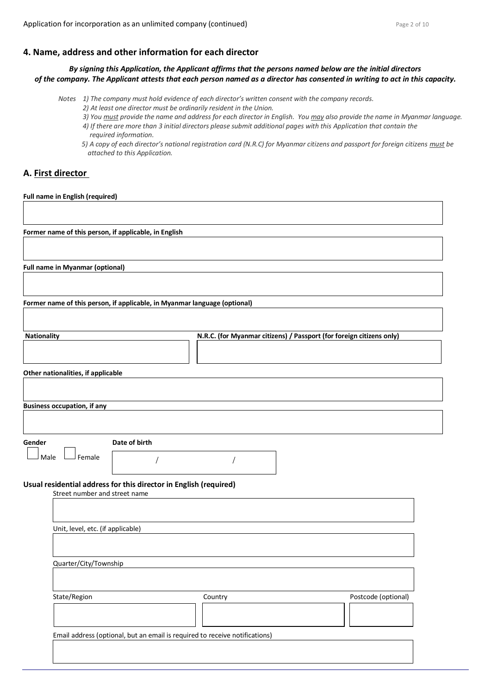### **4. Name, address and other information for each director**

#### *By signing this Application, the Applicant affirms that the persons named below are the initial directors of the company. The Applicant attests that each person named as a director has consented in writing to act in this capacity.*

*Notes 1) The company must hold evidence of each director's written consent with the company records.*

- *2) At least one director must be ordinarily resident in the Union.*
- *3) You must provide the name and address for each director in English. You may also provide the name in Myanmar language.*
- *4) If there are more than 3 initial directors please submit additional pages with this Application that contain the required information.*
- *5) A copy of each director's national registration card (N.R.C) for Myanmar citizens and passport for foreign citizens must be attached to this Application.*

#### **A. First director**

**Full name in English (required)**

**Former name of this person, if applicable, in English**

**Full name in Myanmar (optional)**

**Former name of this person, if applicable, in Myanmar language (optional)**

| <b>Nationality</b> | N.R.C. (for Myanmar citizens) / Passport (for foreign citizens only) |
|--------------------|----------------------------------------------------------------------|
|                    |                                                                      |

**Other nationalities, if applicable**

**Business occupation, if any**

**Gender Date of birth**

 $\Box$  Male  $\Box$  Female

**Usual residential address for this director in English (required)** Street number and street name

| Unit, level, etc. (if applicable) |         |                     |
|-----------------------------------|---------|---------------------|
| Quarter/City/Township             |         |                     |
|                                   |         |                     |
| State/Region                      | Country | Postcode (optional) |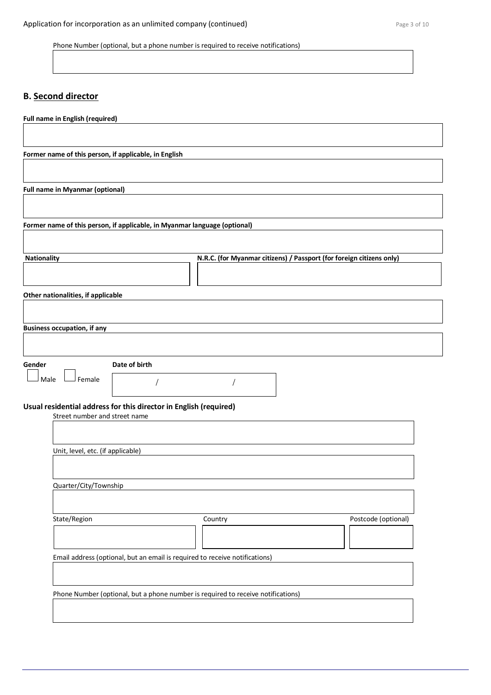# **B. Second director**

| Full name in English (required)                                           |        |                               |                                                                                  |                                                                      |                     |  |
|---------------------------------------------------------------------------|--------|-------------------------------|----------------------------------------------------------------------------------|----------------------------------------------------------------------|---------------------|--|
|                                                                           |        |                               |                                                                                  |                                                                      |                     |  |
| Former name of this person, if applicable, in English                     |        |                               |                                                                                  |                                                                      |                     |  |
| Full name in Myanmar (optional)                                           |        |                               |                                                                                  |                                                                      |                     |  |
|                                                                           |        |                               |                                                                                  |                                                                      |                     |  |
| Former name of this person, if applicable, in Myanmar language (optional) |        |                               |                                                                                  |                                                                      |                     |  |
| <b>Nationality</b>                                                        |        |                               |                                                                                  | N.R.C. (for Myanmar citizens) / Passport (for foreign citizens only) |                     |  |
|                                                                           |        |                               |                                                                                  |                                                                      |                     |  |
| Other nationalities, if applicable                                        |        |                               |                                                                                  |                                                                      |                     |  |
| <b>Business occupation, if any</b>                                        |        |                               |                                                                                  |                                                                      |                     |  |
|                                                                           |        |                               |                                                                                  |                                                                      |                     |  |
| Gender                                                                    |        | Date of birth                 |                                                                                  |                                                                      |                     |  |
| Male                                                                      | Female |                               |                                                                                  |                                                                      |                     |  |
| Usual residential address for this director in English (required)         |        | Street number and street name |                                                                                  |                                                                      |                     |  |
|                                                                           |        |                               |                                                                                  |                                                                      |                     |  |
| Unit, level, etc. (if applicable)                                         |        |                               |                                                                                  |                                                                      |                     |  |
|                                                                           |        |                               |                                                                                  |                                                                      |                     |  |
| Quarter/City/Township                                                     |        |                               |                                                                                  |                                                                      |                     |  |
| State/Region                                                              |        |                               | Country                                                                          |                                                                      | Postcode (optional) |  |
|                                                                           |        |                               |                                                                                  |                                                                      |                     |  |
|                                                                           |        |                               | Email address (optional, but an email is required to receive notifications)      |                                                                      |                     |  |
|                                                                           |        |                               |                                                                                  |                                                                      |                     |  |
|                                                                           |        |                               | Phone Number (optional, but a phone number is required to receive notifications) |                                                                      |                     |  |
|                                                                           |        |                               |                                                                                  |                                                                      |                     |  |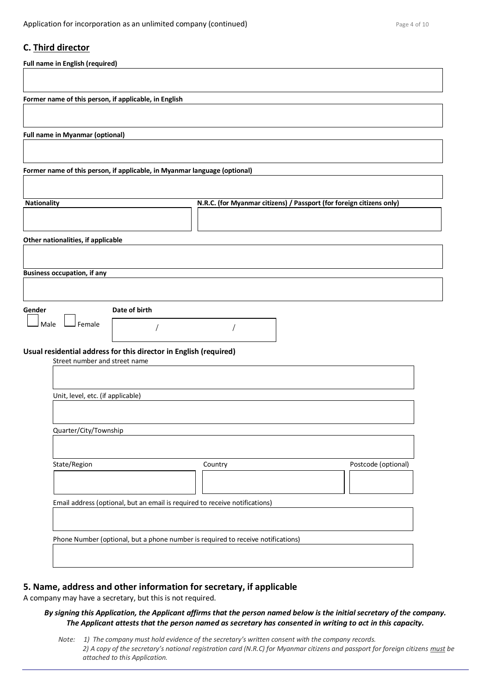### **C. Third director**

| <b>Full name in English (required)</b>                                                             |                                                                                  |                                                                      |                     |
|----------------------------------------------------------------------------------------------------|----------------------------------------------------------------------------------|----------------------------------------------------------------------|---------------------|
| Former name of this person, if applicable, in English                                              |                                                                                  |                                                                      |                     |
|                                                                                                    |                                                                                  |                                                                      |                     |
| <b>Full name in Myanmar (optional)</b>                                                             |                                                                                  |                                                                      |                     |
| Former name of this person, if applicable, in Myanmar language (optional)                          |                                                                                  |                                                                      |                     |
| <b>Nationality</b>                                                                                 |                                                                                  | N.R.C. (for Myanmar citizens) / Passport (for foreign citizens only) |                     |
|                                                                                                    |                                                                                  |                                                                      |                     |
| Other nationalities, if applicable                                                                 |                                                                                  |                                                                      |                     |
| <b>Business occupation, if any</b>                                                                 |                                                                                  |                                                                      |                     |
|                                                                                                    |                                                                                  |                                                                      |                     |
| Gender<br>Male<br>Female                                                                           | Date of birth                                                                    |                                                                      |                     |
| Usual residential address for this director in English (required)<br>Street number and street name |                                                                                  |                                                                      |                     |
|                                                                                                    |                                                                                  |                                                                      |                     |
| Unit, level, etc. (if applicable)                                                                  |                                                                                  |                                                                      |                     |
| Quarter/City/Township                                                                              |                                                                                  |                                                                      |                     |
| State/Region                                                                                       |                                                                                  | Country                                                              | Postcode (optional) |
|                                                                                                    |                                                                                  |                                                                      |                     |
|                                                                                                    | Email address (optional, but an email is required to receive notifications)      |                                                                      |                     |
|                                                                                                    | Phone Number (optional, but a phone number is required to receive notifications) |                                                                      |                     |
|                                                                                                    |                                                                                  |                                                                      |                     |

#### **5. Name, address and other information for secretary, if applicable**

A company may have a secretary, but this is not required.

#### *By signing this Application, the Applicant affirms that the person named below is the initial secretary of the company. The Applicant attests that the person named as secretary has consented in writing to act in this capacity.*

*Note: 1) The company must hold evidence of the secretary's written consent with the company records. 2) A copy of the secretary's national registration card (N.R.C) for Myanmar citizens and passport for foreign citizens must be attached to this Application.*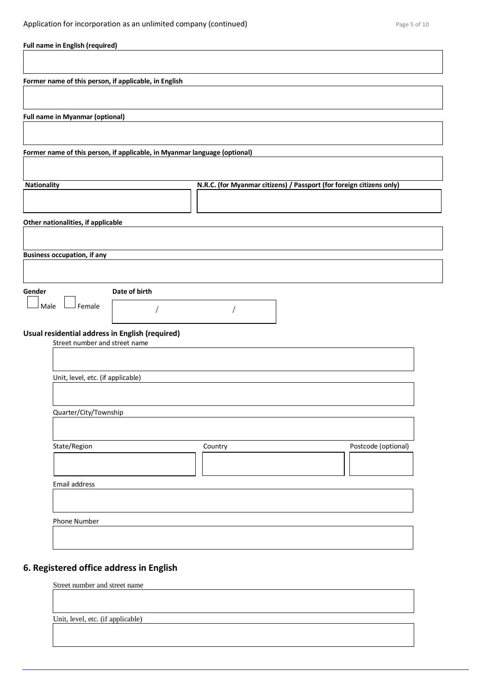| Full name in English (required)                                                  |                                                                      |
|----------------------------------------------------------------------------------|----------------------------------------------------------------------|
|                                                                                  |                                                                      |
| Former name of this person, if applicable, in English                            |                                                                      |
| <b>Full name in Myanmar (optional)</b>                                           |                                                                      |
|                                                                                  |                                                                      |
| Former name of this person, if applicable, in Myanmar language (optional)        |                                                                      |
| <b>Nationality</b>                                                               | N.R.C. (for Myanmar citizens) / Passport (for foreign citizens only) |
|                                                                                  |                                                                      |
| Other nationalities, if applicable                                               |                                                                      |
|                                                                                  |                                                                      |
| <b>Business occupation, if any</b>                                               |                                                                      |
|                                                                                  |                                                                      |
| Date of birth<br>Gender<br>Male<br>Female                                        |                                                                      |
|                                                                                  |                                                                      |
| Usual residential address in English (required)<br>Street number and street name |                                                                      |
|                                                                                  |                                                                      |
| Unit, level, etc. (if applicable)                                                |                                                                      |
| Quarter/City/Township                                                            |                                                                      |
|                                                                                  |                                                                      |
| State/Region                                                                     | Postcode (optional)<br>Country                                       |
|                                                                                  |                                                                      |
| Email address                                                                    |                                                                      |
|                                                                                  |                                                                      |
| Phone Number                                                                     |                                                                      |
|                                                                                  |                                                                      |

# **6. Registered office address in English**

Street number and street name

Unit, level, etc. (if applicable)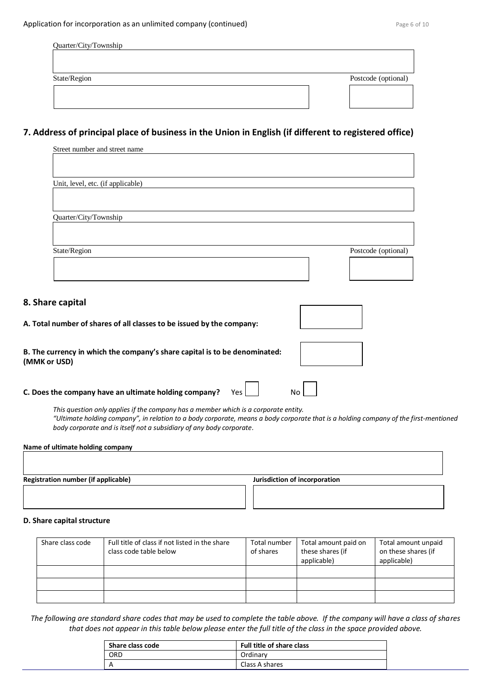| Quarter/City/Township |                     |
|-----------------------|---------------------|
|                       |                     |
|                       |                     |
| State/Region          | Postcode (optional) |
|                       |                     |
|                       |                     |

# **7. Address of principal place of business in the Union in English (if different to registered office)**

| Street number and street name                                                              |                     |
|--------------------------------------------------------------------------------------------|---------------------|
|                                                                                            |                     |
|                                                                                            |                     |
| Unit, level, etc. (if applicable)                                                          |                     |
|                                                                                            |                     |
| Quarter/City/Township                                                                      |                     |
|                                                                                            |                     |
|                                                                                            |                     |
| State/Region                                                                               | Postcode (optional) |
|                                                                                            |                     |
|                                                                                            |                     |
| 8. Share capital                                                                           |                     |
|                                                                                            |                     |
| A. Total number of shares of all classes to be issued by the company:                      |                     |
|                                                                                            |                     |
| B. The currency in which the company's share capital is to be denominated:<br>(MMK or USD) |                     |
|                                                                                            |                     |

**C. Does the company have an ultimate holding company?** Yes  $\Box$  No

*This question only applies if the company has a member which is a corporate entity. "Ultimate holding company", in relation to a body corporate, means a body corporate that is a holding company of the first-mentioned body corporate and is itself not a subsidiary of any body corporate.*

| Name of ultimate holding company           |                               |
|--------------------------------------------|-------------------------------|
| <b>Registration number (if applicable)</b> | Jurisdiction of incorporation |
|                                            |                               |
|                                            |                               |

#### **D. Share capital structure**

| Share class code | Full title of class if not listed in the share<br>class code table below | Total number<br>of shares | Total amount paid on<br>these shares (if<br>applicable) | Total amount unpaid<br>on these shares (if<br>applicable) |
|------------------|--------------------------------------------------------------------------|---------------------------|---------------------------------------------------------|-----------------------------------------------------------|
|                  |                                                                          |                           |                                                         |                                                           |
|                  |                                                                          |                           |                                                         |                                                           |
|                  |                                                                          |                           |                                                         |                                                           |

*The following are standard share codes that may be used to complete the table above. If the company will have a class of shares that does not appear in this table below please enter the full title of the class in the space provided above.*

| Share class code | <b>Full title of share class</b> |
|------------------|----------------------------------|
| ORD              | Ordinary                         |
|                  | Class A shares                   |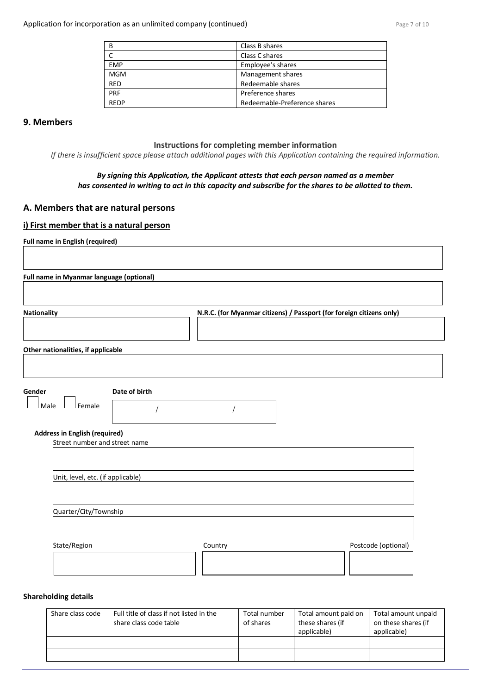| B           | Class B shares               |
|-------------|------------------------------|
|             | Class C shares               |
| <b>EMP</b>  | Employee's shares            |
| <b>MGM</b>  | Management shares            |
| <b>RED</b>  | Redeemable shares            |
| PRF         | Preference shares            |
| <b>RFDP</b> | Redeemable-Preference shares |

### **9. Members**

#### **Instructions for completing member information**

*If there is insufficient space please attach additional pages with this Application containing the required information.*

#### *By signing this Application, the Applicant attests that each person named as a member has consented in writing to act in this capacity and subscribe for the shares to be allotted to them.*

### **A. Members that are natural persons**

#### **i) First member that is a natural person**

| Full name in English (required)                                                   |                                                                      |                     |
|-----------------------------------------------------------------------------------|----------------------------------------------------------------------|---------------------|
| Full name in Myanmar language (optional)                                          |                                                                      |                     |
|                                                                                   |                                                                      |                     |
| <b>Nationality</b>                                                                | N.R.C. (for Myanmar citizens) / Passport (for foreign citizens only) |                     |
| Other nationalities, if applicable                                                |                                                                      |                     |
| Date of birth<br>Gender<br>Female<br>Male<br><b>Address in English (required)</b> |                                                                      |                     |
| Street number and street name<br>Unit, level, etc. (if applicable)                |                                                                      |                     |
| Quarter/City/Township                                                             |                                                                      |                     |
| State/Region                                                                      | Country                                                              | Postcode (optional) |

#### **Shareholding details**

| Share class code | Full title of class if not listed in the<br>share class code table | Total number<br>of shares | Total amount paid on<br>these shares (if<br>applicable) | Total amount unpaid<br>on these shares (if<br>applicable) |
|------------------|--------------------------------------------------------------------|---------------------------|---------------------------------------------------------|-----------------------------------------------------------|
|                  |                                                                    |                           |                                                         |                                                           |
|                  |                                                                    |                           |                                                         |                                                           |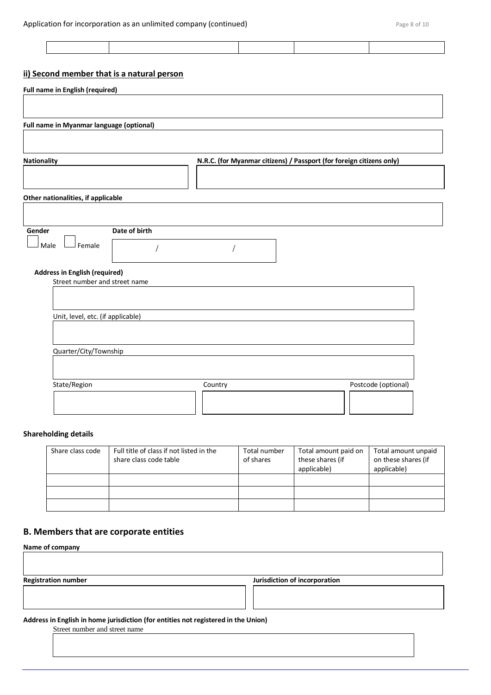| Full name in Myanmar language (optional) |  |                                                                      |
|------------------------------------------|--|----------------------------------------------------------------------|
| Nationality                              |  | N.R.C. (for Myanmar citizens) / Passport (for foreign citizens only) |
|                                          |  |                                                                      |
| Other nationalities, if applicable       |  |                                                                      |
|                                          |  |                                                                      |
| Date of birth<br>Gender                  |  |                                                                      |
| Male<br>J Female                         |  |                                                                      |
| <b>Address in English (required)</b>     |  |                                                                      |
| Street number and street name            |  |                                                                      |
|                                          |  |                                                                      |
| Unit, level, etc. (if applicable)        |  |                                                                      |
| Quarter/City/Township                    |  |                                                                      |

#### **Shareholding details**

| Share class code | Full title of class if not listed in the<br>share class code table | Total number<br>of shares | Total amount paid on<br>these shares (if<br>applicable) | Total amount unpaid<br>on these shares (if<br>applicable) |
|------------------|--------------------------------------------------------------------|---------------------------|---------------------------------------------------------|-----------------------------------------------------------|
|                  |                                                                    |                           |                                                         |                                                           |
|                  |                                                                    |                           |                                                         |                                                           |
|                  |                                                                    |                           |                                                         |                                                           |

#### **B. Members that are corporate entities**

#### **Name of company**

**Registration number** *Registration number Jurisdiction of incorporation* 

#### **Address in English in home jurisdiction (for entities not registered in the Union)**

Street number and street name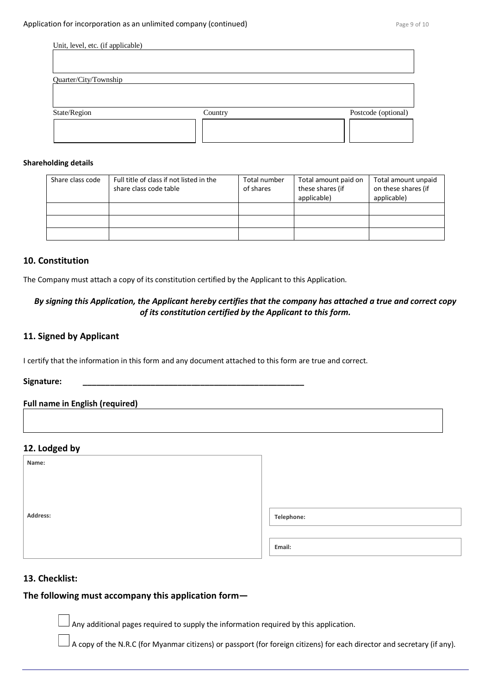| Unit, level, etc. (if applicable) |         |                     |
|-----------------------------------|---------|---------------------|
|                                   |         |                     |
|                                   |         |                     |
|                                   |         |                     |
| Quarter/City/Township             |         |                     |
|                                   |         |                     |
|                                   |         |                     |
|                                   |         |                     |
| State/Region                      | Country | Postcode (optional) |
|                                   |         |                     |
|                                   |         |                     |
|                                   |         |                     |

#### **Shareholding details**

| Share class code | Full title of class if not listed in the<br>share class code table | Total number<br>of shares | Total amount paid on<br>these shares (if<br>applicable) | Total amount unpaid<br>on these shares (if<br>applicable) |
|------------------|--------------------------------------------------------------------|---------------------------|---------------------------------------------------------|-----------------------------------------------------------|
|                  |                                                                    |                           |                                                         |                                                           |
|                  |                                                                    |                           |                                                         |                                                           |
|                  |                                                                    |                           |                                                         |                                                           |

#### **10. Constitution**

The Company must attach a copy of its constitution certified by the Applicant to this Application.

#### *By signing this Application, the Applicant hereby certifies that the company has attached a true and correct copy of its constitution certified by the Applicant to this form.*

#### **11. Signed by Applicant**

I certify that the information in this form and any document attached to this form are true and correct.

## **Signature: \_\_\_\_\_\_\_\_\_\_\_\_\_\_\_\_\_\_\_\_\_\_\_\_\_\_\_\_\_\_\_\_\_\_\_\_\_\_\_\_\_\_\_\_\_\_\_\_\_**

#### **Full name in English (required)**

#### **12. Lodged by**

| $\sim$ |  |
|--------|--|
|        |  |

**Address:**

| Telephone: |  |  |
|------------|--|--|
|            |  |  |

**Email:**

#### **13. Checklist:**

#### **The following must accompany this application form—**

 $\Box$  Any additional pages required to supply the information required by this application.

 $\perp$ A copy of the N.R.C (for Myanmar citizens) or passport (for foreign citizens) for each director and secretary (if any).